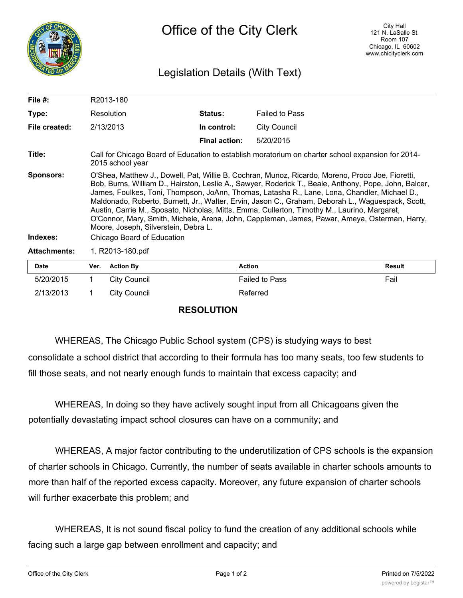

## Legislation Details (With Text)

| File $#$ :            | R2013-180                                                                                                                                                                                                                                                                                                                                                                                                                                                                                                                                                                                                                                                                             |                      |                       |               |  |  |
|-----------------------|---------------------------------------------------------------------------------------------------------------------------------------------------------------------------------------------------------------------------------------------------------------------------------------------------------------------------------------------------------------------------------------------------------------------------------------------------------------------------------------------------------------------------------------------------------------------------------------------------------------------------------------------------------------------------------------|----------------------|-----------------------|---------------|--|--|
| Type:                 | Resolution                                                                                                                                                                                                                                                                                                                                                                                                                                                                                                                                                                                                                                                                            | <b>Status:</b>       | <b>Failed to Pass</b> |               |  |  |
| File created:         | 2/13/2013                                                                                                                                                                                                                                                                                                                                                                                                                                                                                                                                                                                                                                                                             | In control:          | <b>City Council</b>   |               |  |  |
|                       |                                                                                                                                                                                                                                                                                                                                                                                                                                                                                                                                                                                                                                                                                       | <b>Final action:</b> | 5/20/2015             |               |  |  |
| Title:                | Call for Chicago Board of Education to establish moratorium on charter school expansion for 2014-<br>2015 school year                                                                                                                                                                                                                                                                                                                                                                                                                                                                                                                                                                 |                      |                       |               |  |  |
| Sponsors:<br>Indexes: | O'Shea, Matthew J., Dowell, Pat, Willie B. Cochran, Munoz, Ricardo, Moreno, Proco Joe, Fioretti,<br>Bob, Burns, William D., Hairston, Leslie A., Sawyer, Roderick T., Beale, Anthony, Pope, John, Balcer,<br>James, Foulkes, Toni, Thompson, JoAnn, Thomas, Latasha R., Lane, Lona, Chandler, Michael D.,<br>Maldonado, Roberto, Burnett, Jr., Walter, Ervin, Jason C., Graham, Deborah L., Waguespack, Scott,<br>Austin, Carrie M., Sposato, Nicholas, Mitts, Emma, Cullerton, Timothy M., Laurino, Margaret,<br>O'Connor, Mary, Smith, Michele, Arena, John, Cappleman, James, Pawar, Ameya, Osterman, Harry,<br>Moore, Joseph, Silverstein, Debra L.<br>Chicago Board of Education |                      |                       |               |  |  |
| <b>Attachments:</b>   | 1. R2013-180.pdf                                                                                                                                                                                                                                                                                                                                                                                                                                                                                                                                                                                                                                                                      |                      |                       |               |  |  |
| Date                  | <b>Action By</b><br>Ver.                                                                                                                                                                                                                                                                                                                                                                                                                                                                                                                                                                                                                                                              | <b>Action</b>        |                       | <b>Result</b> |  |  |

| <b>Date</b> | Ver. | Action By    | Action                | Result |
|-------------|------|--------------|-----------------------|--------|
| 5/20/2015   |      | City Council | <b>Failed to Pass</b> | Fail   |
| 2/13/2013   |      | City Council | Referred              |        |

## **RESOLUTION**

WHEREAS, The Chicago Public School system (CPS) is studying ways to best

consolidate a school district that according to their formula has too many seats, too few students to fill those seats, and not nearly enough funds to maintain that excess capacity; and

WHEREAS, In doing so they have actively sought input from all Chicagoans given the potentially devastating impact school closures can have on a community; and

WHEREAS, A major factor contributing to the underutilization of CPS schools is the expansion of charter schools in Chicago. Currently, the number of seats available in charter schools amounts to more than half of the reported excess capacity. Moreover, any future expansion of charter schools will further exacerbate this problem; and

WHEREAS, It is not sound fiscal policy to fund the creation of any additional schools while facing such a large gap between enrollment and capacity; and